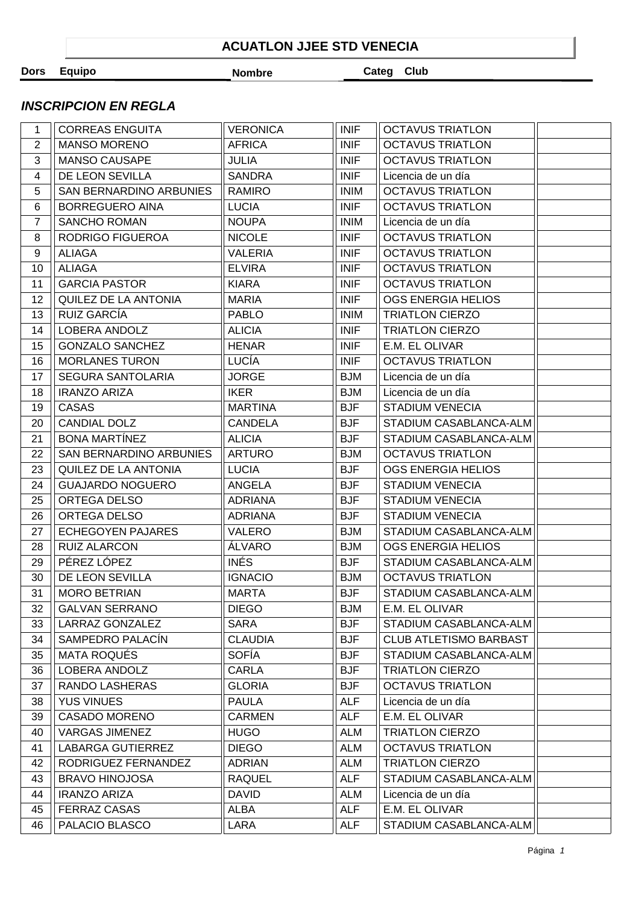## **ACUATLON JJEE STD VENECIA**

**Dors Equipo Nombre Categ Club** 

## **INSCRIPCION EN REGLA**

| 1                       | <b>CORREAS ENGUITA</b>   | <b>VERONICA</b> | <b>INIF</b> | <b>OCTAVUS TRIATLON</b>       |  |
|-------------------------|--------------------------|-----------------|-------------|-------------------------------|--|
| $\overline{2}$          | <b>MANSO MORENO</b>      | <b>AFRICA</b>   | <b>INIF</b> | <b>OCTAVUS TRIATLON</b>       |  |
| 3                       | <b>MANSO CAUSAPE</b>     | <b>JULIA</b>    | <b>INIF</b> | <b>OCTAVUS TRIATLON</b>       |  |
| $\overline{\mathbf{4}}$ | DE LEON SEVILLA          | <b>SANDRA</b>   | <b>INIF</b> | Licencia de un día            |  |
| 5                       | SAN BERNARDINO ARBUNIES  | RAMIRO          | <b>INIM</b> | <b>OCTAVUS TRIATLON</b>       |  |
| 6                       | <b>BORREGUERO AINA</b>   | <b>LUCIA</b>    | <b>INIF</b> | <b>OCTAVUS TRIATLON</b>       |  |
| $\overline{7}$          | <b>SANCHO ROMAN</b>      | <b>NOUPA</b>    | <b>INIM</b> | Licencia de un día            |  |
| 8                       | RODRIGO FIGUEROA         | <b>NICOLE</b>   | <b>INIF</b> | <b>OCTAVUS TRIATLON</b>       |  |
| 9                       | <b>ALIAGA</b>            | <b>VALERIA</b>  | <b>INIF</b> | <b>OCTAVUS TRIATLON</b>       |  |
| 10                      | <b>ALIAGA</b>            | <b>ELVIRA</b>   | <b>INIF</b> | <b>OCTAVUS TRIATLON</b>       |  |
| 11                      | <b>GARCIA PASTOR</b>     | <b>KIARA</b>    | <b>INIF</b> | <b>OCTAVUS TRIATLON</b>       |  |
| 12 <sup>°</sup>         | QUILEZ DE LA ANTONIA     | <b>MARIA</b>    | <b>INIF</b> | OGS ENERGIA HELIOS            |  |
| 13                      | RUIZ GARCÍA              | <b>PABLO</b>    | <b>INIM</b> | <b>TRIATLON CIERZO</b>        |  |
| 14                      | LOBERA ANDOLZ            | <b>ALICIA</b>   | <b>INIF</b> | <b>TRIATLON CIERZO</b>        |  |
| 15                      | <b>GONZALO SANCHEZ</b>   | <b>HENAR</b>    | <b>INIF</b> | E.M. EL OLIVAR                |  |
| 16                      | <b>MORLANES TURON</b>    | LUCÍA           | <b>INIF</b> | <b>OCTAVUS TRIATLON</b>       |  |
| 17                      | <b>SEGURA SANTOLARIA</b> | <b>JORGE</b>    | <b>BJM</b>  | Licencia de un día            |  |
| 18                      | <b>IRANZO ARIZA</b>      | <b>IKER</b>     | <b>BJM</b>  | Licencia de un día            |  |
| 19                      | <b>CASAS</b>             | <b>MARTINA</b>  | <b>BJF</b>  | <b>STADIUM VENECIA</b>        |  |
| 20                      | <b>CANDIAL DOLZ</b>      | <b>CANDELA</b>  | <b>BJF</b>  | STADIUM CASABLANCA-ALM        |  |
| 21                      | <b>BONA MARTÍNEZ</b>     | <b>ALICIA</b>   | <b>BJF</b>  | STADIUM CASABLANCA-ALM        |  |
| 22                      | SAN BERNARDINO ARBUNIES  | <b>ARTURO</b>   | <b>BJM</b>  | <b>OCTAVUS TRIATLON</b>       |  |
| 23                      | QUILEZ DE LA ANTONIA     | <b>LUCIA</b>    | <b>BJF</b>  | OGS ENERGIA HELIOS            |  |
| 24                      | <b>GUAJARDO NOGUERO</b>  | ANGELA          | <b>BJF</b>  | <b>STADIUM VENECIA</b>        |  |
| 25                      | ORTEGA DELSO             | <b>ADRIANA</b>  | <b>BJF</b>  | <b>STADIUM VENECIA</b>        |  |
| 26                      | ORTEGA DELSO             | <b>ADRIANA</b>  | <b>BJF</b>  | <b>STADIUM VENECIA</b>        |  |
| 27                      | <b>ECHEGOYEN PAJARES</b> | VALERO          | <b>BJM</b>  | STADIUM CASABLANCA-ALM        |  |
| 28                      | <b>RUIZ ALARCON</b>      | ÁLVARO          | <b>BJM</b>  | OGS ENERGIA HELIOS            |  |
| 29                      | PÉREZ LÓPEZ              | <b>INÉS</b>     | <b>BJF</b>  | STADIUM CASABLANCA-ALM        |  |
| 30                      | DE LEON SEVILLA          | <b>IGNACIO</b>  | <b>BJM</b>  | <b>OCTAVUS TRIATLON</b>       |  |
| 31                      | <b>MORO BETRIAN</b>      | <b>MARTA</b>    | <b>BJF</b>  | STADIUM CASABLANCA-ALM        |  |
| 32                      | <b>GALVAN SERRANO</b>    | <b>DIEGO</b>    | <b>BJM</b>  | E.M. EL OLIVAR                |  |
| 33                      | LARRAZ GONZALEZ          | <b>SARA</b>     | <b>BJF</b>  | STADIUM CASABLANCA-ALM        |  |
| 34                      | SAMPEDRO PALACÍN         | <b>CLAUDIA</b>  | <b>BJF</b>  | <b>CLUB ATLETISMO BARBAST</b> |  |
| 35                      | MATA ROQUÉS              | <b>SOFÍA</b>    | <b>BJF</b>  | STADIUM CASABLANCA-ALM        |  |
| 36                      | LOBERA ANDOLZ            | <b>CARLA</b>    | <b>BJF</b>  | <b>TRIATLON CIERZO</b>        |  |
| 37                      | RANDO LASHERAS           | <b>GLORIA</b>   | <b>BJF</b>  | <b>OCTAVUS TRIATLON</b>       |  |
| 38                      | <b>YUS VINUES</b>        | <b>PAULA</b>    | <b>ALF</b>  | Licencia de un día            |  |
| 39                      | <b>CASADO MORENO</b>     | <b>CARMEN</b>   | <b>ALF</b>  | E.M. EL OLIVAR                |  |
| 40                      | <b>VARGAS JIMENEZ</b>    | <b>HUGO</b>     | <b>ALM</b>  | <b>TRIATLON CIERZO</b>        |  |
| 41                      | <b>LABARGA GUTIERREZ</b> | <b>DIEGO</b>    | <b>ALM</b>  | <b>OCTAVUS TRIATLON</b>       |  |
| 42                      | RODRIGUEZ FERNANDEZ      | <b>ADRIAN</b>   | <b>ALM</b>  | <b>TRIATLON CIERZO</b>        |  |
| 43                      | <b>BRAVO HINOJOSA</b>    | <b>RAQUEL</b>   | <b>ALF</b>  | STADIUM CASABLANCA-ALM        |  |
| 44                      | <b>IRANZO ARIZA</b>      | <b>DAVID</b>    | <b>ALM</b>  | Licencia de un día            |  |
| 45                      | <b>FERRAZ CASAS</b>      | <b>ALBA</b>     | <b>ALF</b>  | E.M. EL OLIVAR                |  |
| 46                      | PALACIO BLASCO           | LARA            | <b>ALF</b>  | STADIUM CASABLANCA-ALM        |  |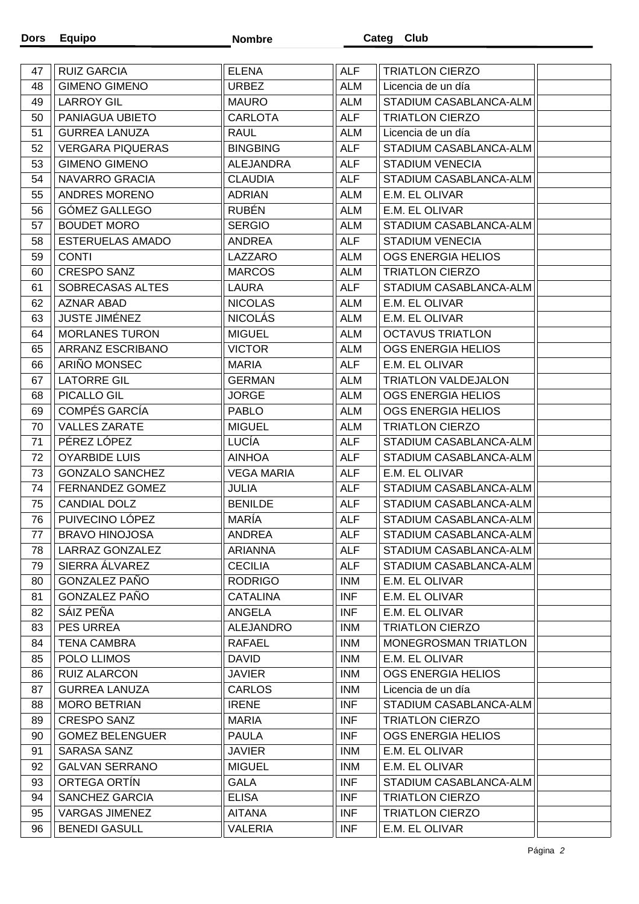| 47 | <b>RUIZ GARCIA</b>      | <b>ELENA</b>      | <b>ALF</b> | <b>TRIATLON CIERZO</b>      |  |
|----|-------------------------|-------------------|------------|-----------------------------|--|
| 48 | <b>GIMENO GIMENO</b>    | <b>URBEZ</b>      | <b>ALM</b> | Licencia de un día          |  |
| 49 | <b>LARROY GIL</b>       | <b>MAURO</b>      | <b>ALM</b> | STADIUM CASABLANCA-ALM      |  |
| 50 | PANIAGUA UBIETO         | <b>CARLOTA</b>    | <b>ALF</b> | <b>TRIATLON CIERZO</b>      |  |
| 51 | <b>GURREA LANUZA</b>    | <b>RAUL</b>       | <b>ALM</b> | Licencia de un día          |  |
| 52 | <b>VERGARA PIQUERAS</b> | <b>BINGBING</b>   | <b>ALF</b> | STADIUM CASABLANCA-ALM      |  |
| 53 | <b>GIMENO GIMENO</b>    | ALEJANDRA         | <b>ALF</b> | <b>STADIUM VENECIA</b>      |  |
| 54 | NAVARRO GRACIA          | <b>CLAUDIA</b>    | <b>ALF</b> | STADIUM CASABLANCA-ALM      |  |
| 55 | ANDRES MORENO           | <b>ADRIAN</b>     | <b>ALM</b> | E.M. EL OLIVAR              |  |
| 56 | GÓMEZ GALLEGO           | <b>RUBÉN</b>      | <b>ALM</b> | E.M. EL OLIVAR              |  |
| 57 | <b>BOUDET MORO</b>      | <b>SERGIO</b>     | ALM        | STADIUM CASABLANCA-ALM      |  |
| 58 | <b>ESTERUELAS AMADO</b> | ANDREA            | <b>ALF</b> | <b>STADIUM VENECIA</b>      |  |
| 59 | <b>CONTI</b>            | LAZZARO           | <b>ALM</b> | OGS ENERGIA HELIOS          |  |
| 60 | <b>CRESPO SANZ</b>      | <b>MARCOS</b>     | <b>ALM</b> | <b>TRIATLON CIERZO</b>      |  |
| 61 | SOBRECASAS ALTES        | LAURA             | <b>ALF</b> | STADIUM CASABLANCA-ALM      |  |
| 62 | <b>AZNAR ABAD</b>       | <b>NICOLAS</b>    | <b>ALM</b> | E.M. EL OLIVAR              |  |
| 63 | <b>JUSTE JIMÉNEZ</b>    | <b>NICOLÁS</b>    | <b>ALM</b> | E.M. EL OLIVAR              |  |
| 64 | <b>MORLANES TURON</b>   | <b>MIGUEL</b>     | <b>ALM</b> | <b>OCTAVUS TRIATLON</b>     |  |
| 65 | ARRANZ ESCRIBANO        | <b>VICTOR</b>     | <b>ALM</b> | OGS ENERGIA HELIOS          |  |
| 66 | ARIÑO MONSEC            | <b>MARIA</b>      | <b>ALF</b> | E.M. EL OLIVAR              |  |
| 67 | <b>LATORRE GIL</b>      | <b>GERMAN</b>     | <b>ALM</b> | TRIATLON VALDEJALON         |  |
| 68 | PICALLO GIL             | <b>JORGE</b>      | <b>ALM</b> | OGS ENERGIA HELIOS          |  |
| 69 | COMPÉS GARCÍA           | <b>PABLO</b>      | <b>ALM</b> | OGS ENERGIA HELIOS          |  |
| 70 | <b>VALLES ZARATE</b>    | <b>MIGUEL</b>     | <b>ALM</b> | <b>TRIATLON CIERZO</b>      |  |
| 71 | PÉREZ LÓPEZ             | LUCÍA             | <b>ALF</b> | STADIUM CASABLANCA-ALM      |  |
| 72 | <b>OYARBIDE LUIS</b>    | <b>AINHOA</b>     | <b>ALF</b> | STADIUM CASABLANCA-ALM      |  |
| 73 | <b>GONZALO SANCHEZ</b>  | <b>VEGA MARIA</b> | <b>ALF</b> | E.M. EL OLIVAR              |  |
| 74 | FERNANDEZ GOMEZ         | <b>JULIA</b>      | <b>ALF</b> | STADIUM CASABLANCA-ALM      |  |
| 75 | <b>CANDIAL DOLZ</b>     | <b>BENILDE</b>    | <b>ALF</b> | STADIUM CASABLANCA-ALM      |  |
| 76 | PUIVECINO LÓPEZ         | MARÍA             | <b>ALF</b> | STADIUM CASABLANCA-ALM      |  |
| 77 | <b>BRAVO HINOJOSA</b>   | <b>ANDREA</b>     | <b>ALF</b> | STADIUM CASABLANCA-ALM      |  |
| 78 | LARRAZ GONZALEZ         | <b>ARIANNA</b>    | <b>ALF</b> | STADIUM CASABLANCA-ALM      |  |
| 79 | SIERRA ÁLVAREZ          | <b>CECILIA</b>    | <b>ALF</b> | STADIUM CASABLANCA-ALM      |  |
| 80 | <b>GONZALEZ PAÑO</b>    | <b>RODRIGO</b>    | <b>INM</b> | E.M. EL OLIVAR              |  |
| 81 | GONZALEZ PAÑO           | <b>CATALINA</b>   | <b>INF</b> | E.M. EL OLIVAR              |  |
| 82 | SÁIZ PEÑA               | ANGELA            | <b>INF</b> | E.M. EL OLIVAR              |  |
| 83 | <b>PES URREA</b>        | <b>ALEJANDRO</b>  | <b>INM</b> | <b>TRIATLON CIERZO</b>      |  |
| 84 | <b>TENA CAMBRA</b>      | RAFAEL            | <b>INM</b> | <b>MONEGROSMAN TRIATLON</b> |  |
| 85 | POLO LLIMOS             | <b>DAVID</b>      | <b>INM</b> | E.M. EL OLIVAR              |  |
| 86 | <b>RUIZ ALARCON</b>     | <b>JAVIER</b>     | <b>INM</b> | OGS ENERGIA HELIOS          |  |
| 87 | <b>GURREA LANUZA</b>    | <b>CARLOS</b>     | <b>INM</b> | Licencia de un día          |  |
| 88 | <b>MORO BETRIAN</b>     | <b>IRENE</b>      | INF        | STADIUM CASABLANCA-ALM      |  |
| 89 | <b>CRESPO SANZ</b>      | <b>MARIA</b>      | INF        | <b>TRIATLON CIERZO</b>      |  |
| 90 | <b>GOMEZ BELENGUER</b>  | <b>PAULA</b>      | INF        | OGS ENERGIA HELIOS          |  |
| 91 | SARASA SANZ             | <b>JAVIER</b>     | <b>INM</b> | E.M. EL OLIVAR              |  |
| 92 | <b>GALVAN SERRANO</b>   | <b>MIGUEL</b>     | <b>INM</b> | E.M. EL OLIVAR              |  |
| 93 | ORTEGA ORTÍN            | <b>GALA</b>       | INF        | STADIUM CASABLANCA-ALM      |  |
| 94 | SANCHEZ GARCIA          | <b>ELISA</b>      | INF        | <b>TRIATLON CIERZO</b>      |  |
| 95 | <b>VARGAS JIMENEZ</b>   | <b>AITANA</b>     | <b>INF</b> | <b>TRIATLON CIERZO</b>      |  |
| 96 | <b>BENEDI GASULL</b>    | VALERIA           | <b>INF</b> | E.M. EL OLIVAR              |  |